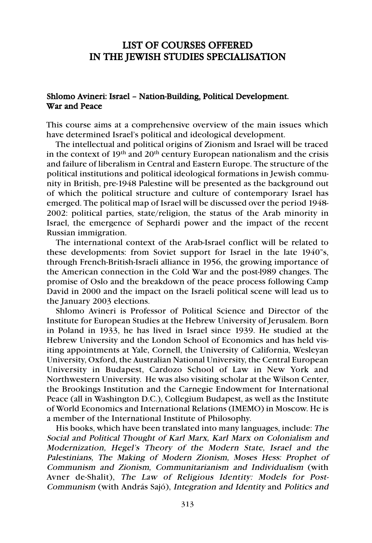# LIST OF COURSES OFFERED IN THE JEWISH STUDIES SPECIALISATION

# Shlomo Avineri: Israel – Nation-Building, Political Development. War and Peace

This course aims at a comprehensive overview of the main issues which have determined Israel's political and ideological development.

The intellectual and political origins of Zionism and Israel will be traced in the context of  $19<sup>th</sup>$  and  $20<sup>th</sup>$  century European nationalism and the crisis and failure of liberalism in Central and Eastern Europe. The structure of the political institutions and political ideological formations in Jewish community in British, pre-1948 Palestine will be presented as the background out of which the political structure and culture of contemporary Israel has emerged. The political map of Israel will be discussed over the period 1948- 2002: political parties, state/religion, the status of the Arab minority in Israel, the emergence of Sephardi power and the impact of the recent Russian immigration.

The international context of the Arab-Israel conflict will be related to these developments: from Soviet support for Israel in the late 1940"s, through French-British-Israeli alliance in 1956, the growing importance of the American connection in the Cold War and the post-l989 changes. The promise of Oslo and the breakdown of the peace process following Camp David in 2000 and the impact on the Israeli political scene will lead us to the January 2003 elections.

Shlomo Avineri is Professor of Political Science and Director of the Institute for European Studies at the Hebrew University of Jerusalem. Born in Poland in 1933, he has lived in Israel since 1939. He studied at the Hebrew University and the London School of Economics and has held visiting appointments at Yale, Cornell, the University of California, Wesleyan University, Oxford, the Australian National University, the Central European University in Budapest, Cardozo School of Law in New York and Northwestern University. He was also visiting scholar at the Wilson Center, the Brookings Institution and the Carnegie Endowment for International Peace (all in Washington D.C.), Collegium Budapest, as well as the Institute of World Economics and International Relations (IMEMO) in Moscow. He is a member of the International Institute of Philosophy.

His books, which have been translated into many languages, include: The Social and Political Thought of Karl Marx, Karl Marx on Colonialism and Modernization, Hegel's Theory of the Modern State, Israel and the Palestinians, The Making of Modern Zionism, Moses Hess: Prophet of Communism and Zionism, Communitarianism and Individualism (with Avner de-Shalit), The Law of Religious Identity: Models for Post-Communism (with András Sajó), Integration and Identity and Politics and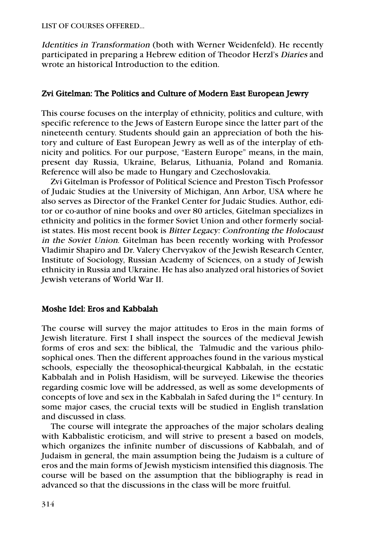LIST OF COURSES OFFERED…

Identities in Transformation (both with Werner Weidenfeld). He recently participated in preparing a Hebrew edition of Theodor Herzl's Diaries and wrote an historical Introduction to the edition.

# Zvi Gitelman: The Politics and Culture of Modern East European Jewry

This course focuses on the interplay of ethnicity, politics and culture, with specific reference to the Jews of Eastern Europe since the latter part of the nineteenth century. Students should gain an appreciation of both the history and culture of East European Jewry as well as of the interplay of ethnicity and politics. For our purpose, "Eastern Europe" means, in the main, present day Russia, Ukraine, Belarus, Lithuania, Poland and Romania. Reference will also be made to Hungary and Czechoslovakia.

Zvi Gitelman is Professor of Political Science and Preston Tisch Professor of Judaic Studies at the University of Michigan, Ann Arbor, USA where he also serves as Director of the Frankel Center for Judaic Studies. Author, editor or co-author of nine books and over 80 articles, Gitelman specializes in ethnicity and politics in the former Soviet Union and other formerly socialist states. His most recent book is Bitter Legacy: Confronting the Holocaust in the Soviet Union. Gitelman has been recently working with Professor Vladimir Shapiro and Dr. Valery Chervyakov of the Jewish Research Center, Institute of Sociology, Russian Academy of Sciences, on a study of Jewish ethnicity in Russia and Ukraine. He has also analyzed oral histories of Soviet Jewish veterans of World War II.

### Moshe Idel: Eros and Kabbalah

The course will survey the major attitudes to Eros in the main forms of Jewish literature. First I shall inspect the sources of the medieval Jewish forms of eros and sex: the biblical, the Talmudic and the various philosophical ones. Then the different approaches found in the various mystical schools, especially the theosophical-theurgical Kabbalah, in the ecstatic Kabbalah and in Polish Hasidism, will be surveyed. Likewise the theories regarding cosmic love will be addressed, as well as some developments of concepts of love and sex in the Kabbalah in Safed during the 1<sup>st</sup> century. In some major cases, the crucial texts will be studied in English translation and discussed in class.

The course will integrate the approaches of the major scholars dealing with Kabbalistic eroticism, and will strive to present a based on models, which organizes the infinite number of discussions of Kabbalah, and of Judaism in general, the main assumption being the Judaism is a culture of eros and the main forms of Jewish mysticism intensified this diagnosis. The course will be based on the assumption that the bibliography is read in advanced so that the discussions in the class will be more fruitful.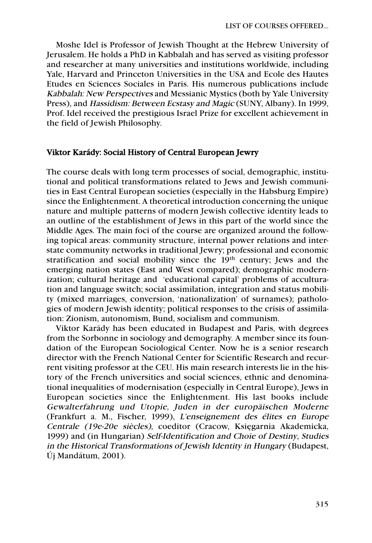Moshe Idel is Professor of Jewish Thought at the Hebrew University of Jerusalem. He holds a PhD in Kabbalah and has served as visiting professor and researcher at many universities and institutions worldwide, including Yale, Harvard and Princeton Universities in the USA and Ecole des Hautes Etudes en Sciences Sociales in Paris. His numerous publications include Kabbalah: New Perspectives and Messianic Mystics (both by Yale University Press), and Hassidism: Between Ecstasy and Magic (SUNY, Albany). In 1999, Prof. Idel received the prestigious Israel Prize for excellent achievement in the field of Jewish Philosophy.

#### Viktor Karády: Social History of Central European Jewry

The course deals with long term processes of social, demographic, institutional and political transformations related to Jews and Jewish communities in East Central European societies (especially in the Habsburg Empire) since the Enlightenment. A theoretical introduction concerning the unique nature and multiple patterns of modern Jewish collective identity leads to an outline of the establishment of Jews in this part of the world since the Middle Ages. The main foci of the course are organized around the following topical areas: community structure, internal power relations and interstate community networks in traditional Jewry; professional and economic stratification and social mobility since the 19<sup>th</sup> century; Jews and the emerging nation states (East and West compared); demographic modernization; cultural heritage and 'educational capital' problems of acculturation and language switch; social assimilation, integration and status mobility (mixed marriages, conversion, 'nationalization' of surnames); pathologies of modern Jewish identity; political responses to the crisis of assimilation: Zionism, autonomism, Bund, socialism and communism.

Viktor Karády has been educated in Budapest and Paris, with degrees from the Sorbonne in sociology and demography. A member since its foundation of the European Sociological Center. Now he is a senior research director with the French National Center for Scientific Research and recurrent visiting professor at the CEU. His main research interests lie in the history of the French universities and social sciences, ethnic and denominational inequalities of modernisation (especially in Central Europe), Jews in European societies since the Enlightenment. His last books include Gewalterfahrung und Utopie, Juden in der europäischen Moderne (Frankfurt a. M., Fischer, 1999), L'enseignement des élites en Europe Centrale (19e-20e siècles), coeditor (Cracow, Księgarnia Akademicka, 1999) and (in Hungarian) Self-Identification and Choie of Destiny, Studies in the Historical Transformations of Jewish Identity in Hungary (Budapest, Új Mandátum, 2001).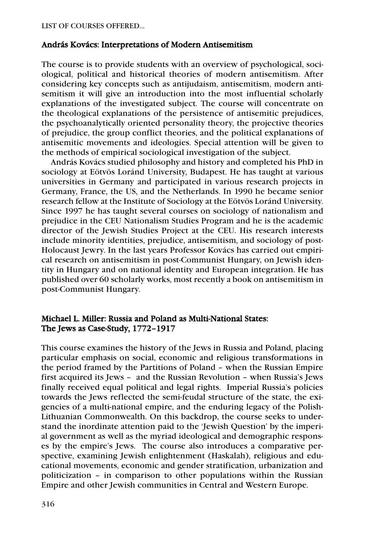#### András Kovács: Interpretations of Modern Antisemitism

The course is to provide students with an overview of psychological, sociological, political and historical theories of modern antisemitism. After considering key concepts such as antijudaism, antisemitism, modern antisemitism it will give an introduction into the most influential scholarly explanations of the investigated subject. The course will concentrate on the theological explanations of the persistence of antisemitic prejudices, the psychoanalytically oriented personality theory, the projective theories of prejudice, the group conflict theories, and the political explanations of antisemitic movements and ideologies. Special attention will be given to the methods of empirical sociological investigation of the subject.

András Kovács studied philosophy and history and completed his PhD in sociology at Eötvös Loránd University, Budapest. He has taught at various universities in Germany and participated in various research projects in Germany, France, the US, and the Netherlands. In 1990 he became senior research fellow at the Institute of Sociology at the Eötvös Loránd University. Since 1997 he has taught several courses on sociology of nationalism and prejudice in the CEU Nationalism Studies Program and he is the academic director of the Jewish Studies Project at the CEU. His research interests include minority identities, prejudice, antisemitism, and sociology of post-Holocaust Jewry. In the last years Professor Kovács has carried out empirical research on antisemitism in post-Communist Hungary, on Jewish identity in Hungary and on national identity and European integration. He has published over 60 scholarly works, most recently a book on antisemitism in post-Communist Hungary.

# Michael L. Miller: Russia and Poland as Multi-National States: The Jews as Case-Study, 1772–1917

This course examines the history of the Jews in Russia and Poland, placing particular emphasis on social, economic and religious transformations in the period framed by the Partitions of Poland – when the Russian Empire first acquired its Jews – and the Russian Revolution – when Russia's Jews finally received equal political and legal rights. Imperial Russia's policies towards the Jews reflected the semi-feudal structure of the state, the exigencies of a multi-national empire, and the enduring legacy of the Polish-Lithuanian Commonwealth. On this backdrop, the course seeks to understand the inordinate attention paid to the 'Jewish Question' by the imperial government as well as the myriad ideological and demographic responses by the empire's Jews. The course also introduces a comparative perspective, examining Jewish enlightenment (Haskalah), religious and educational movements, economic and gender stratification, urbanization and politicization – in comparison to other populations within the Russian Empire and other Jewish communities in Central and Western Europe.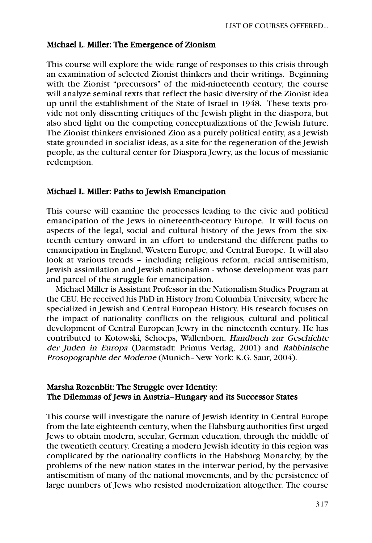#### Michael L. Miller: The Emergence of Zionism

This course will explore the wide range of responses to this crisis through an examination of selected Zionist thinkers and their writings. Beginning with the Zionist "precursors" of the mid-nineteenth century, the course will analyze seminal texts that reflect the basic diversity of the Zionist idea up until the establishment of the State of Israel in 1948. These texts provide not only dissenting critiques of the Jewish plight in the diaspora, but also shed light on the competing conceptualizations of the Jewish future. The Zionist thinkers envisioned Zion as a purely political entity, as a Jewish state grounded in socialist ideas, as a site for the regeneration of the Jewish people, as the cultural center for Diaspora Jewry, as the locus of messianic redemption.

#### Michael L. Miller: Paths to Jewish Emancipation

This course will examine the processes leading to the civic and political emancipation of the Jews in nineteenth-century Europe. It will focus on aspects of the legal, social and cultural history of the Jews from the sixteenth century onward in an effort to understand the different paths to emancipation in England, Western Europe, and Central Europe. It will also look at various trends – including religious reform, racial antisemitism, Jewish assimilation and Jewish nationalism - whose development was part and parcel of the struggle for emancipation.

Michael Miller is Assistant Professor in the Nationalism Studies Program at the CEU. He received his PhD in History from Columbia University, where he specialized in Jewish and Central European History. His research focuses on the impact of nationality conflicts on the religious, cultural and political development of Central European Jewry in the nineteenth century. He has contributed to Kotowski, Schoeps, Wallenborn, Handbuch zur Geschichte der Juden in Europa (Darmstadt: Primus Verlag, 2001) and Rabbinische Prosopographie der Moderne (Munich–New York: K.G. Saur, 2004).

### Marsha Rozenblit: The Struggle over Identity: The Dilemmas of Jews in Austria–Hungary and its Successor States

This course will investigate the nature of Jewish identity in Central Europe from the late eighteenth century, when the Habsburg authorities first urged Jews to obtain modern, secular, German education, through the middle of the twentieth century. Creating a modern Jewish identity in this region was complicated by the nationality conflicts in the Habsburg Monarchy, by the problems of the new nation states in the interwar period, by the pervasive antisemitism of many of the national movements, and by the persistence of large numbers of Jews who resisted modernization altogether. The course